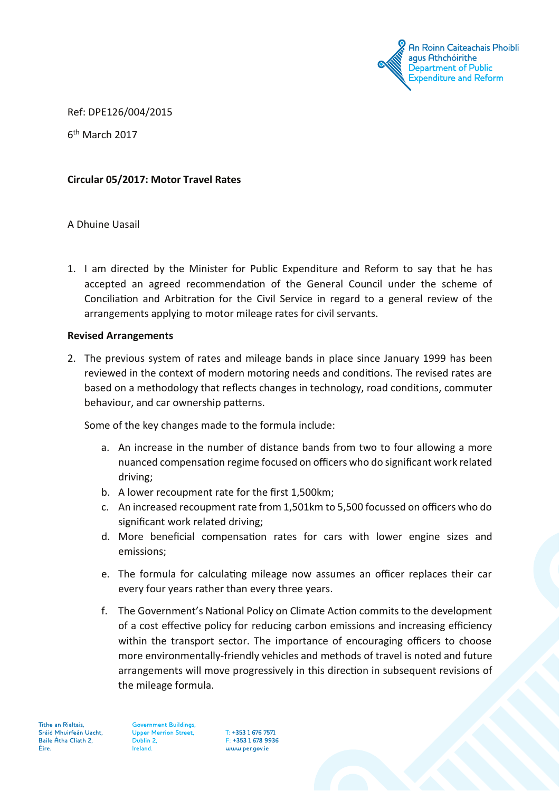

Ref: DPE126/004/2015

6th March 2017

### **Circular 05/2017: Motor Travel Rates**

#### A Dhuine Uasail

1. I am directed by the Minister for Public Expenditure and Reform to say that he has accepted an agreed recommendation of the General Council under the scheme of Conciliation and Arbitration for the Civil Service in regard to a general review of the arrangements applying to motor mileage rates for civil servants.

#### **Revised Arrangements**

2. The previous system of rates and mileage bands in place since January 1999 has been reviewed in the context of modern motoring needs and conditions. The revised rates are based on a methodology that reflects changes in technology, road conditions, commuter behaviour, and car ownership patterns.

Some of the key changes made to the formula include:

- a. An increase in the number of distance bands from two to four allowing a more nuanced compensation regime focused on officers who do significant work related driving;
- b. A lower recoupment rate for the first 1,500km;
- c. An increased recoupment rate from 1,501km to 5,500 focussed on officers who do significant work related driving;
- d. More beneficial compensation rates for cars with lower engine sizes and emissions;
- e. The formula for calculating mileage now assumes an officer replaces their car every four years rather than every three years.
- f. The Government's National Policy on Climate Action commits to the development of a cost effective policy for reducing carbon emissions and increasing efficiency within the transport sector. The importance of encouraging officers to choose more environmentally-friendly vehicles and methods of travel is noted and future arrangements will move progressively in this direction in subsequent revisions of the mileage formula.

T: +353 1 676 7571 F: +353 1 678 9936 www.per.gov.je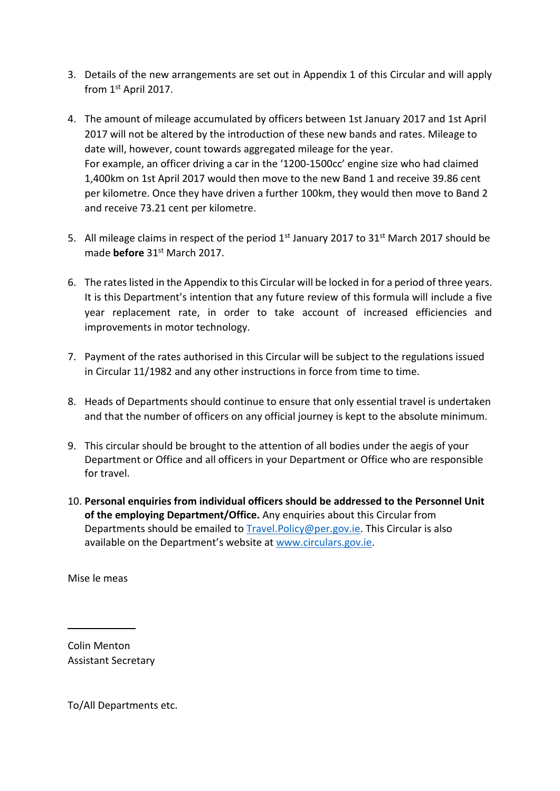- 3. Details of the new arrangements are set out in Appendix 1 of this Circular and will apply from 1st April 2017.
- 4. The amount of mileage accumulated by officers between 1st January 2017 and 1st April 2017 will not be altered by the introduction of these new bands and rates. Mileage to date will, however, count towards aggregated mileage for the year. For example, an officer driving a car in the '1200-1500cc' engine size who had claimed 1,400km on 1st April 2017 would then move to the new Band 1 and receive 39.86 cent per kilometre. Once they have driven a further 100km, they would then move to Band 2 and receive 73.21 cent per kilometre.
- 5. All mileage claims in respect of the period 1<sup>st</sup> January 2017 to 31<sup>st</sup> March 2017 should be made **before** 31st March 2017.
- 6. The rates listed in the Appendix to this Circular will be locked in for a period of three years. It is this Department's intention that any future review of this formula will include a five year replacement rate, in order to take account of increased efficiencies and improvements in motor technology.
- 7. Payment of the rates authorised in this Circular will be subject to the regulations issued in Circular 11/1982 and any other instructions in force from time to time.
- 8. Heads of Departments should continue to ensure that only essential travel is undertaken and that the number of officers on any official journey is kept to the absolute minimum.
- 9. This circular should be brought to the attention of all bodies under the aegis of your Department or Office and all officers in your Department or Office who are responsible for travel.
- 10. **Personal enquiries from individual officers should be addressed to the Personnel Unit of the employing Department/Office.** Any enquiries about this Circular from Departments should be emailed to [Travel.Policy@per.gov.ie.](mailto:Travel.Policy@per.gov.ie) This Circular is also available on the Department's website at [www.circulars.gov.ie.](http://www.circulars.gov.ie/)

Mise le meas

Colin Menton Assistant Secretary

To/All Departments etc.